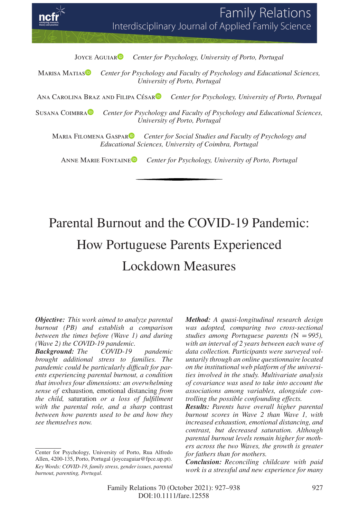**Family Relations** Interdisciplinary Journal of Applied Family Science

JOYCE AGUIAR<sup>D</sup> Cente[r](https://orcid.org/0000-0002-5462-4914) for Psychology, University of Porto, Portugal

Marisa Matia[s](https://orcid.org/0000-0002-5755-5096) *Center for Psychology and Faculty of Psychology and Educational Sciences, University of Porto, Portugal*

Ana Carolina Braz and Filipa Césa[r](https://orcid.org/0000-0003-2214-9490) *Center for Psychology, University of Porto, Portugal*

Susana Coimbr[a](http://orcid.org/0000-0002-7738-4757) *Center for Psychology and Faculty of Psychology and Educational Sciences, University of Porto, Portugal*

MARIA FILOMENA GASPAR<sup>1</sup> *Cente[r](https://orcid.org/0000-0002-6680-9289) for Social Studies and Faculty of Psychology and Educational Sciences, University of Coimbra, Portugal*

Anne Marie Fontain[e](https://orcid.org/0000-0001-9232-8692) *Center for Psychology, University of Porto, Portugal*

# Parental Burnout and the COVID-19 Pandemic: How Portuguese Parents Experienced Lockdown Measures

*Objective: This work aimed to analyze parental burnout (PB) and establish a comparison between the times before (Wave 1) and during (Wave 2) the COVID-19 pandemic.*

*Background: The COVID-19 pandemic brought additional stress to families. The pandemic could be particularly difficult for parents experiencing parental burnout, a condition that involves four dimensions: an overwhelming sense of* exhaustion*,* emotional distancing *from the child,* saturation *or a loss of fulfillment with the parental role, and a sharp* contrast *between how parents used to be and how they see themselves now.*

*Method: A quasi-longitudinal research design was adopted, comparing two cross-sectional studies among Portuguese parents (*N =*995), with an interval of 2 years between each wave of data collection. Participants were surveyed voluntarily through an online questionnaire located on the institutional web platform of the universities involved in the study. Multivariate analysis of covariance was used to take into account the associations among variables, alongside controlling the possible confounding effects.*

*Results: Parents have overall higher parental burnout scores in Wave 2 than Wave 1, with increased exhaustion, emotional distancing, and contrast, but decreased saturation. Although parental burnout levels remain higher for mothers across the two Waves, the growth is greater for fathers than for mothers.*

*Conclusion: Reconciling childcare with paid work is a stressful and new experience for many*

Center for Psychology, University of Porto, Rua Alfredo Allen, 4200-135, Porto, Portugal (joyceaguiar@fpce.up.pt). *Key Words: COVID-19, family stress, gender issues, parental burnout, parenting, Portugal.*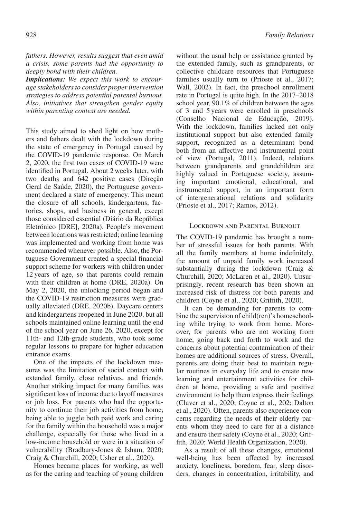*fathers. However, results suggest that even amid a crisis, some parents had the opportunity to deeply bond with their children.*

*Implications: We expect this work to encourage stakeholders to consider proper intervention strategies to address potential parental burnout. Also, initiatives that strengthen gender equity within parenting context are needed.*

This study aimed to shed light on how mothers and fathers dealt with the lockdown during the state of emergency in Portugal caused by the COVID-19 pandemic response. On March 2, 2020, the first two cases of COVID-19 were identified in Portugal. About 2 weeks later, with two deaths and 642 positive cases (Direção Geral de Saúde, 2020), the Portuguese government declared a state of emergency. This meant the closure of all schools, kindergartens, factories, shops, and business in general, except those considered essential (Diário da República Eletrónico [DRE], 2020a). People's movement between locations was restricted; online learning was implemented and working from home was recommended whenever possible. Also, the Portuguese Government created a special financial support scheme for workers with children under 12 years of age, so that parents could remain with their children at home (DRE, 2020a). On May 2, 2020, the unlocking period began and the COVID-19 restriction measures were gradually alleviated (DRE, 2020b). Daycare centers and kindergartens reopened in June 2020, but all schools maintained online learning until the end of the school year on June 26, 2020, except for 11th- and 12th-grade students, who took some regular lessons to prepare for higher education entrance exams.

One of the impacts of the lockdown measures was the limitation of social contact with extended family, close relatives, and friends. Another striking impact for many families was significant loss of income due to layoff measures or job loss. For parents who had the opportunity to continue their job activities from home, being able to juggle both paid work and caring for the family within the household was a major challenge, especially for those who lived in a low-income household or were in a situation of vulnerability (Bradbury-Jones & Isham, 2020; Craig & Churchill, 2020; Usher et al., 2020).

Homes became places for working, as well as for the caring and teaching of young children

without the usual help or assistance granted by the extended family, such as grandparents, or collective childcare resources that Portuguese families usually turn to (Prioste et al., 2017; Wall, 2002). In fact, the preschool enrollment rate in Portugal is quite high. In the 2017–2018 school year, 90.1% of children between the ages of 3 and 5 years were enrolled in preschools (Conselho Nacional de Educação, 2019). With the lockdown, families lacked not only institutional support but also extended family support, recognized as a determinant bond both from an affective and instrumental point of view (Portugal, 2011). Indeed, relations between grandparents and grandchildren are highly valued in Portuguese society, assuming important emotional, educational, and instrumental support, in an important form of intergenerational relations and solidarity (Prioste et al., 2017; Ramos, 2012).

## Lockdown and Parental Burnout

The COVID-19 pandemic has brought a number of stressful issues for both parents. With all the family members at home indefinitely, the amount of unpaid family work increased substantially during the lockdown (Craig & Churchill, 2020; McLaren et al., 2020). Unsurprisingly, recent research has been shown an increased risk of distress for both parents and children (Coyne et al., 2020; Griffith, 2020).

It can be demanding for parents to combine the supervision of child(ren)'s homeschooling while trying to work from home. Moreover, for parents who are not working from home, going back and forth to work and the concerns about potential contamination of their homes are additional sources of stress. Overall, parents are doing their best to maintain regular routines in everyday life and to create new learning and entertainment activities for children at home, providing a safe and positive environment to help them express their feelings (Cluver et al., 2020; Coyne et al., 202; Dalton et al., 2020). Often, parents also experience concerns regarding the needs of their elderly parents whom they need to care for at a distance and ensure their safety (Coyne et al., 2020; Griffith, 2020; World Health Organization, 2020).

As a result of all these changes, emotional well-being has been affected by increased anxiety, loneliness, boredom, fear, sleep disorders, changes in concentration, irritability, and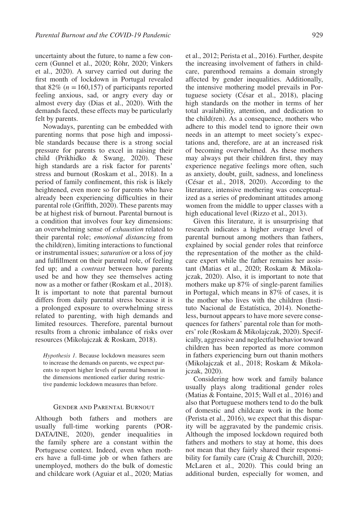uncertainty about the future, to name a few concern (Gunnel et al., 2020; Röhr, 2020; Vinkers et al., 2020). A survey carried out during the first month of lockdown in Portugal revealed that  $82\%$  ( $n = 160,157$ ) of participants reported feeling anxious, sad, or angry every day or almost every day (Dias et al., 2020). With the demands faced, these effects may be particularly felt by parents.

Nowadays, parenting can be embedded with parenting norms that pose high and impossible standards because there is a strong social pressure for parents to excel in raising their child (Prikhidko & Swang, 2020). These high standards are a risk factor for parents' stress and burnout (Roskam et al., 2018). In a period of family confinement, this risk is likely heightened, even more so for parents who have already been experiencing difficulties in their parental role (Griffith, 2020). These parents may be at highest risk of burnout. Parental burnout is a condition that involves four key dimensions: an overwhelming sense of *exhaustion* related to their parental role; *emotional distancing* from the child(ren), limiting interactions to functional or instrumental issues; *saturation* or a loss of joy and fulfillment on their parental role, of feeling fed up; and a *contrast* between how parents used be and how they see themselves acting now as a mother or father (Roskam et al., 2018). It is important to note that parental burnout differs from daily parental stress because it is a prolonged exposure to overwhelming stress related to parenting, with high demands and limited resources. Therefore, parental burnout results from a chronic imbalance of risks over resources (Mikolajczak & Roskam, 2018).

*Hypothesis 1.* Because lockdown measures seem to increase the demands on parents, we expect parents to report higher levels of parental burnout in the dimensions mentioned earlier during restrictive pandemic lockdown measures than before.

# Gender and Parental Burnout

Although both fathers and mothers are usually full-time working parents (POR-DATA/INE, 2020), gender inequalities in the family sphere are a constant within the Portuguese context. Indeed, even when mothers have a full-time job or when fathers are unemployed, mothers do the bulk of domestic and childcare work (Aguiar et al., 2020; Matias et al., 2012; Perista et al., 2016). Further, despite the increasing involvement of fathers in childcare, parenthood remains a domain strongly affected by gender inequalities. Additionally, the intensive mothering model prevails in Portuguese society (César et al., 2018), placing high standards on the mother in terms of her total availability, attention, and dedication to the child(ren). As a consequence, mothers who adhere to this model tend to ignore their own needs in an attempt to meet society's expectations and, therefore, are at an increased risk of becoming overwhelmed. As these mothers may always put their children first, they may experience negative feelings more often, such as anxiety, doubt, guilt, sadness, and loneliness (César et al., 2018, 2020). According to the literature, intensive mothering was conceptualized as a series of predominant attitudes among women from the middle to upper classes with a high educational level (Rizzo et al., 2013).

Given this literature, it is unsurprising that research indicates a higher average level of parental burnout among mothers than fathers, explained by social gender roles that reinforce the representation of the mother as the childcare expert while the father remains her assistant (Matias et al., 2020; Roskam & Mikolajczak, 2020). Also, it is important to note that mothers make up 87% of single-parent families in Portugal, which means in 87% of cases, it is the mother who lives with the children (Instituto Nacional de Estatística, 2014). Nonetheless, burnout appears to have more severe consequences for fathers' parental role than for mothers' role (Roskam & Mikolajczak, 2020). Specifically, aggressive and neglectful behavior toward children has been reported as more common in fathers experiencing burn out thanin mothers (Mikolajczak et al., 2018; Roskam & Mikolajczak, 2020).

Considering how work and family balance usually plays along traditional gender roles (Matias & Fontaine, 2015; Wall et al., 2016) and also that Portuguese mothers tend to do the bulk of domestic and childcare work in the home (Perista et al., 2016), we expect that this disparity will be aggravated by the pandemic crisis. Although the imposed lockdown required both fathers and mothers to stay at home, this does not mean that they fairly shared their responsibility for family care (Craig & Churchill, 2020; McLaren et al., 2020). This could bring an additional burden, especially for women, and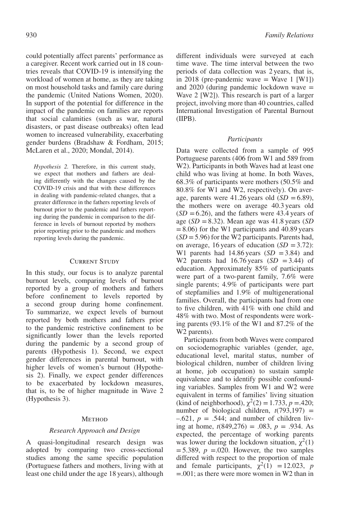could potentially affect parents' performance as a caregiver. Recent work carried out in 18 countries reveals that COVID-19 is intensifying the workload of women at home, as they are taking on most household tasks and family care during the pandemic (United Nations Women, 2020). In support of the potential for difference in the impact of the pandemic on families are reports that social calamities (such as war, natural disasters, or past disease outbreaks) often lead women to increased vulnerability, exacerbating gender burdens (Bradshaw & Fordham, 2015; McLaren et al., 2020; Mondal, 2014).

*Hypothesis 2.* Therefore, in this current study, we expect that mothers and fathers are dealing differently with the changes caused by the COVID-19 crisis and that with these differences in dealing with pandemic-related changes, that a greater difference in the fathers reporting levels of burnout prior to the pandemic and fathers reporting during the pandemic in comparison to the difference in levels of burnout reported by mothers prior reporting prior to the pandemic and mothers reporting levels during the pandemic.

# Current Study

In this study, our focus is to analyze parental burnout levels, comparing levels of burnout reported by a group of mothers and fathers before confinement to levels reported by a second group during home confinement. To summarize, we expect levels of burnout reported by both mothers and fathers prior to the pandemic restrictive confinement to be significantly lower than the levels reported during the pandemic by a second group of parents (Hypothesis 1). Second, we expect gender differences in parental burnout, with higher levels of women's burnout (Hypothesis 2). Finally, we expect gender differences to be exacerbated by lockdown measures, that is, to be of higher magnitude in Wave 2 (Hypothesis 3).

## **METHOD**

# *Research Approach and Design*

A quasi-longitudinal research design was adopted by comparing two cross-sectional studies among the same specific population (Portuguese fathers and mothers, living with at least one child under the age 18 years), although different individuals were surveyed at each time wave. The time interval between the two periods of data collection was 2 years, that is, in 2018 (pre-pandemic wave  $=$  Wave 1 [W1]) and  $2020$  (during pandemic lockdown wave  $=$ Wave 2 [W2]). This research is part of a larger project, involving more than 40 countries, called International Investigation of Parental Burnout (IIPB).

# *Participants*

Data were collected from a sample of 995 Portuguese parents (406 from W1 and 589 from W2). Participants in both Waves had at least one child who was living at home. In both Waves, 68.3% of participants were mothers (50.5% and 80.8% for W1 and W2, respectively). On average, parents were  $41.26$  years old  $(SD = 6.89)$ , the mothers were on average 40.3 years old  $(SD = 6.26)$ , and the fathers were 43.4 years of age (*SD* =8.32). Mean age was 41.8 years (*SD*  $=8.06$ ) for the W1 participants and 40.89 years (*SD* =5.96) for the W2 participants. Parents had, on average, 16 years of education  $(SD = 3.72)$ : W1 parents had  $14.86$  years  $(SD = 3.84)$  and W2 parents had  $16.76$  years  $(SD = 3.44)$  of education. Approximately 85% of participants were part of a two-parent family, 7.6% were single parents; 4.9% of participants were part of stepfamilies and 1.9% of multigenerational families. Overall, the participants had from one to five children, with 41% with one child and 48% with two. Most of respondents were working parents (93.1% of the W1 and 87.2% of the W<sub>2</sub> parents).

Participants from both Waves were compared on sociodemographic variables (gender, age, educational level, marital status, number of biological children, number of children living at home, job occupation) to sustain sample equivalence and to identify possible confounding variables. Samples from W1 and W2 were equivalent in terms of families' living situation (kind of neighborhood),  $\chi^2(2) = 1.733$ ,  $p = .420$ ; number of biological children,  $t(793,197)$  =  $-0.621$ ,  $p = 0.544$ ; and number of children living at home,  $t(849,276) = .083$ ,  $p = .934$ . As expected, the percentage of working parents was lower during the lockdown situation,  $\chi^2(1)$  $=$  5.389,  $p = 0.020$ . However, the two samples differed with respect to the proportion of male and female participants,  $\chi^2(1) = 12.023$ , *p* =.001; as there were more women in W2 than in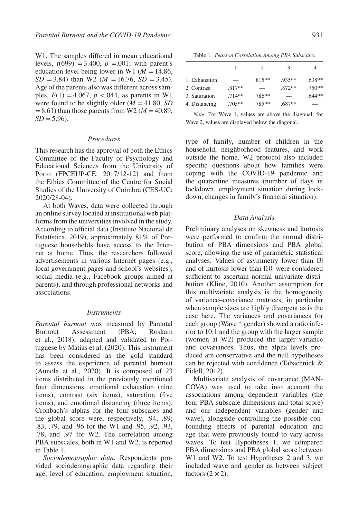W1. The samples differed in mean educational levels,  $t(699) = 3.400$ ,  $p = .001$ ; with parent's education level being lower in W1 ( $M = 14.86$ ,  $SD = 3.84$ ) than W2 (*M* = 16.76, *SD* = 3.45). Age of the parents also was different across samples,  $F(1) = 4.067$ ,  $p < .044$ , as parents in W1 were found to be slightly older  $(M = 41.80, SD)$  $=8.61$ ) than those parents from W2 ( $M = 40.89$ ,  $SD = 5.96$ .

#### *Procedures*

This research has the approval of both the Ethics Committee of the Faculty of Psychology and Educational Sciences from the University of Porto (FPCEUP-CE: 2017/12-12) and from the Ethics Committee of the Centre for Social Studies of the University of Coimbra (CES-UC: 2020/28-04).

At both Waves, data were collected through an online survey located at institutional web platforms from the universities involved in the study. According to official data (Instituto Nacional de Estatística, 2019), approximately 81% of Portuguese households have access to the Internet at home. Thus, the researchers followed advertisements in various Internet pages (e.g., local government pages and school's websites), social media (e.g., Facebook groups aimed at parents), and through professional networks and associations.

#### *Instruments*

*Parental burnout* was measured by Parental Burnout Assessment (PBA; Roskam et al., 2018), adapted and validated to Portuguese by Matias et al. (2020). This instrument has been considered as the gold standard to assess the experience of parental burnout (Aunola et al., 2020). It is composed of 23 items distributed in the previously mentioned four dimensions: emotional exhaustion (nine items), contrast (six items), saturation (five items), and emotional distancing (three items). Cronbach's alphas for the four subscales and the global score were, respectively, .94, .89; .83, .79, and .96 for the W1 and .95, .92, .93, .78, and .97 for W2. The correlation among PBA subscales, both in W1 and W2, is reported in Table 1.

*Sociodemographic data*. Respondents provided sociodemographic data regarding their age, level of education, employment situation,

Table 1*. Pearson Correlation Among PBA Subscales*

|               |          | 2         | 3        | 4        |
|---------------|----------|-----------|----------|----------|
| 1. Exhaustion |          | $.815**$  | $.935**$ | $.638**$ |
| 2. Contrast   | $.817**$ |           | $.872**$ | $.750**$ |
| 3. Saturation | $.714**$ | $.786**$  |          | $.644**$ |
| 4. Distancing | $.705**$ | $.785***$ | $687**$  |          |

*Note*. For Wave 1, values are above the diagonal; for Wave 2, values are displayed below the diagonal.

type of family, number of children in the household, neighborhood features, and work outside the home. W2 protocol also included specific questions about how families were coping with the COVID-19 pandemic and the quarantine measures (number of days in lockdown, employment situation during lockdown, changes in family's financial situation).

#### *Data Analysis*

Preliminary analyses on skewness and kurtosis were performed to confirm the normal distribution of PBA dimensions and PBA global score, allowing the use of parametric statistical analyses. Values of asymmetry lower than |3| and of kurtosis lower than |10| were considered sufficient to ascertain normal univariate distribution (Kline, 2010). Another assumption for this multivariate analysis is the homogeneity of variance–covariance matrices, in particular when sample sizes are highly divergent as is the case here. The variances and covariances for each group (Wave \* gender) showed a ratio inferior to 10:1 and the group with the larger sample (women at W2) produced the larger variance and covariances. Thus, the alpha levels produced are conservative and the null hypotheses can be rejected with confidence (Tabachnick & Fidell, 2012).

Multivariate analysis of covariance (MAN-COVA) was used to take into account the associations among dependent variables (the four PBA subscale dimensions and total score) and our independent variables (gender and wave), alongside controlling the possible confounding effects of parental education and age that were previously found to vary across waves. To test Hypotheses 1, we compared PBA dimensions and PBA global score between W1 and W2. To test Hypotheses 2 and 3, we included wave and gender as between subject factors  $(2 \times 2)$ .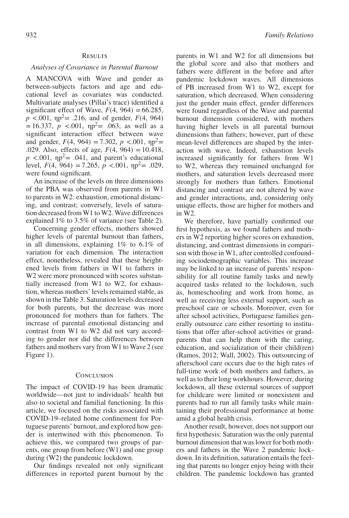## **RESULTS**

#### *Analyses of Covariance in Parental Burnout*

A MANCOVA with Wave and gender as between-subjects factors and age and educational level as covariates was conducted. Multivariate analyses (Pillai's trace) identified a significant effect of Wave,  $F(4, 964) = 66.285$ ,  $p < .001$ ,  $np^2 = .216$ , and of gender,  $F(4, 964)$  $=16.337, p \le 0.001, \eta p^2 = 0.063$ , as well as a significant interaction effect between wave and gender,  $F(4, 964) = 7.302$ ,  $p < .001$ ,  $np^2 =$ .029. Also, effects of age,  $F(4, 964) = 10.418$ ,  $p \le 0.001$ ,  $np^2 = 0.041$ , and parent's educational level,  $F(4, 964) = 7.265$ ,  $p < .001$ ,  $np^2 = .029$ , were found significant.

An increase of the levels on three dimensions of the PBA was observed from parents in W1 to parents in W2: exhaustion, emotional distancing, and contrast; conversely, levels of saturation decreased from W1 to W2. Wave differences explained 1% to 3.5% of variance (see Table 2).

Concerning gender effects, mothers showed higher levels of parental burnout than fathers, in all dimensions, explaining 1% to 6.1% of variation for each dimension. The interaction effect, nonetheless, revealed that these heightened levels from fathers in W1 to fathers in W2 were more pronounced with scores substantially increased from W1 to W2, for exhaustion, whereas mothers' levels remained stable, as shown in the Table 3. Saturation levels decreased for both parents, but the decrease was more pronounced for mothers than for fathers. The increase of parental emotional distancing and contrast from W1 to W2 did not vary according to gender nor did the differences between fathers and mothers vary from W1 to Wave 2 (see Figure 1).

#### **CONCLUSION**

The impact of COVID-19 has been dramatic worldwide—not just to individuals' health but also to societal and familial functioning. In this article, we focused on the risks associated with COVID-19–related home confinement for Portuguese parents' burnout, and explored how gender is intertwined with this phenomenon. To achieve this, we compared two groups of parents, one group from before (W1) and one group during (W2) the pandemic lockdown.

Our findings revealed not only significant differences in reported parent burnout by the parents in W1 and W2 for all dimensions but the global score and also that mothers and fathers were different in the before and after pandemic lockdown waves. All dimensions of PB increased from W1 to W2, except for saturation, which decreased. When considering just the gender main effect, gender differences were found regardless of the Wave and parental burnout dimension considered, with mothers having higher levels in all parental burnout dimensions than fathers; however, part of these mean-level differences are shaped by the interaction with wave. Indeed, exhaustion levels increased significantly for fathers from W1 to W2, whereas they remained unchanged for mothers, and saturation levels decreased more strongly for mothers than fathers. Emotional distancing and contrast are not altered by wave and gender interactions, and, considering only unique effects, those are higher for mothers and in W2.

We therefore, have partially confirmed our first hypothesis, as we found fathers and mothers in W2 reporting higher scores on exhaustion, distancing, and contrast dimensions in comparison with those in W1, after controlled confounding sociodemographic variables. This increase may be linked to an increase of parents' responsibility for all routine family tasks and newly acquired tasks related to the lockdown, such as, homeschooling and work from home, as well as receiving less external support, such as preschool care or schools. Moreover, even for after school activities, Portuguese families generally outsource care either resorting to institutions that offer after-school activities or grandparents that can help them with the caring, education, and socialization of their child(ren) (Ramos, 2012; Wall, 2002). This outsourcing of afterschool care occurs due to the high rates of full-time work of both mothers and fathers, as well as to their long workhours. However, during lockdown, all these external sources of support for childcare were limited or nonexistent and parents had to run all family tasks while maintaining their professional performance at home amid a global health crisis.

Another result, however, does not support our first hypothesis: Saturation was the only parental burnout dimension that was lower for both mothers and fathers in the Wave 2 pandemic lockdown. In its definition, saturation entails the feeling that parents no longer enjoy being with their children. The pandemic lockdown has granted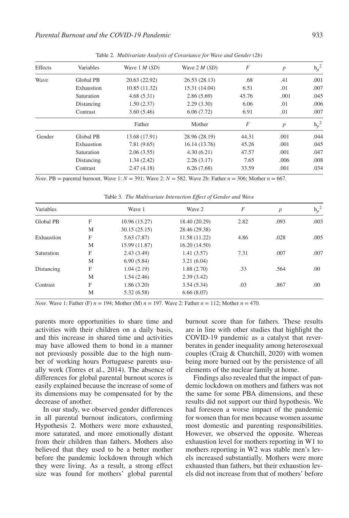| Effects | Variables  | Wave $1 M(SD)$ | Wave $2 M(SD)$ | F     | $\boldsymbol{p}$ | $h_p^2$ |
|---------|------------|----------------|----------------|-------|------------------|---------|
| Wave    | Global PB  | 20.63 (22.92)  | 26.53 (28.13)  | .68   | .41              | .001    |
|         | Exhaustion | 10.85 (11.32)  | 15.31 (14.04)  | 6.51  | .01              | .007    |
|         | Saturation | 4.68(5.31)     | 2.86(5.69)     | 45.76 | .001             | .045    |
|         | Distancing | 1.50(2.37)     | 2.29(3.30)     | 6.06  | .01              | .006    |
|         | Contrast   | 3.60(5.46)     | 6.06(7.72)     | 6.91  | .01              | .007    |
|         |            | Father         | Mother         | F     | $\boldsymbol{p}$ | $h_p^2$ |
| Gender  | Global PB  | 13.68 (17.91)  | 28.96 (28.19)  | 44.31 | .001             | .044    |
|         | Exhaustion | 7.81 (9.65)    | 16.14 (13.76)  | 45.26 | .001             | .045    |
|         | Saturation | 2.06(3.55)     | 4.30(6.21)     | 47.57 | .001             | .047    |
|         | Distancing | 1.34(2.42)     | 2.26(3.17)     | 7.65  | .006             | .008    |
|         | Contrast   | 2.47(4.18)     | 6.26(7.68)     | 33.59 | .001             | .034    |
|         |            |                |                |       |                  |         |

Table 2*. Multivariate Analysis of Covariance for Wave and Gender (2b)*

*Note*. PB = parental burnout. Wave 1: *N* = 391; Wave 2: *N* = 582. Wave 2b: Father *n* = 306; Mother *n* = 667.

Variables Wave 1 Wave 2  $F$  *p* h<sub>p</sub> h<sub>p</sub>  $h_p^2$ Global PB F 10.96 (15.27) 18.40 (20.29) 2.82 .093 .003 M 30.15 (25.15) 28.46 (29.38) Exhaustion F 5.63 (7.87) 11.58 (11.22) 4.86 .028 .005 M 15.99 (11.87) 16.20 (14.50) Saturation F 2.43 (3.49) 1.41 (3.57) 7.31 .007 .007 M 6.90 (5.84) 3.21 (6.04) Distancing F 1.04 (2.19) 1.88 (2.70) .33 .564 .00 M 1.54 (2.46) 2.39 (3.42) Contrast F 1.86 (3.20) 3.54 (5.34) .03 .867 .00 M 5.32 (6.58) 6.66 (8.07)

Table 3*. The Multivariate Interaction Effect of Gender and Wave*

*Note*. Wave 1: Father (F) *n* = 194; Mother (M) *n* = 197. Wave 2: Father *n* = 112; Mother *n* = 470.

parents more opportunities to share time and activities with their children on a daily basis, and this increase in shared time and activities may have allowed them to bond in a manner not previously possible due to the high number of working hours Portuguese parents usually work (Torres et al., 2014). The absence of differences for global parental burnout scores is easily explained because the increase of some of its dimensions may be compensated for by the decrease of another.

In our study, we observed gender differences in all parental burnout indicators, confirming Hypothesis 2. Mothers were more exhausted, more saturated, and more emotionally distant from their children than fathers. Mothers also believed that they used to be a better mother before the pandemic lockdown through which they were living. As a result, a strong effect size was found for mothers' global parental burnout score than for fathers. These results are in line with other studies that highlight the COVID-19 pandemic as a catalyst that reverberates in gender inequality among heterosexual couples (Craig & Churchill, 2020) with women being more burned out by the persistence of all elements of the nuclear family at home.

Findings also revealed that the impact of pandemic lockdown on mothers and fathers was not the same for some PBA dimensions, and these results did not support our third hypothesis. We had foreseen a worse impact of the pandemic for women than for men because women assume most domestic and parenting responsibilities. However, we observed the opposite. Whereas exhaustion level for mothers reporting in W1 to mothers reporting in W2 was stable men's levels increased substantially. Mothers were more exhausted than fathers, but their exhaustion levels did not increase from that of mothers' before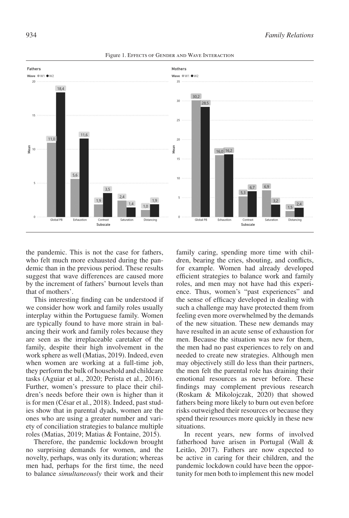

Figure 1. Effects of Gender and Wave Interaction

the pandemic. This is not the case for fathers, who felt much more exhausted during the pandemic than in the previous period. These results suggest that wave differences are caused more by the increment of fathers' burnout levels than that of mothers'.

This interesting finding can be understood if we consider how work and family roles usually interplay within the Portuguese family. Women are typically found to have more strain in balancing their work and family roles because they are seen as the irreplaceable caretaker of the family, despite their high involvement in the work sphere as well (Matias, 2019). Indeed, even when women are working at a full-time job, they perform the bulk of household and childcare tasks (Aguiar et al., 2020; Perista et al., 2016). Further, women's pressure to place their children's needs before their own is higher than it is for men (César et al., 2018). Indeed, past studies show that in parental dyads, women are the ones who are using a greater number and variety of conciliation strategies to balance multiple roles (Matias, 2019; Matias & Fontaine, 2015).

Therefore, the pandemic lockdown brought no surprising demands for women, and the novelty, perhaps, was only its duration; whereas men had, perhaps for the first time, the need to balance *simultaneously* their work and their family caring, spending more time with children, bearing the cries, shouting, and conflicts, for example. Women had already developed efficient strategies to balance work and family roles, and men may not have had this experience. Thus, women's "past experiences" and the sense of efficacy developed in dealing with such a challenge may have protected them from feeling even more overwhelmed by the demands of the new situation. These new demands may have resulted in an acute sense of exhaustion for men. Because the situation was new for them, the men had no past experiences to rely on and needed to create new strategies. Although men may objectively still do less than their partners, the men felt the parental role has draining their emotional resources as never before. These findings may complement previous research (Roskam & Mikolojczak, 2020) that showed fathers being more likely to burn out even before risks outweighed their resources or because they spend their resources more quickly in these new situations.

In recent years, new forms of involved fatherhood have arisen in Portugal (Wall & Leitão, 2017). Fathers are now expected to be active in caring for their children, and the pandemic lockdown could have been the opportunity for men both to implement this new model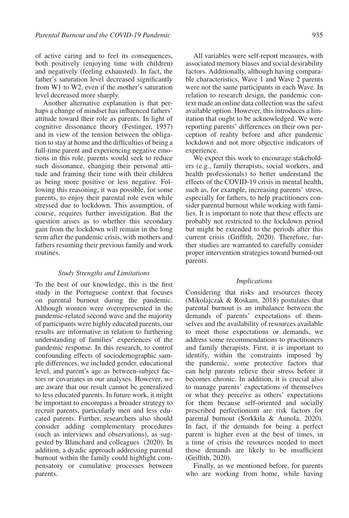of active caring and to feel its consequences, both positively (enjoying time with children) and negatively (feeling exhausted). In fact, the father's saturation level decreased significantly from W1 to W2, even if the mother's saturation level decreased more sharply.

Another alternative explanation is that perhaps a change of mindset has influenced fathers' attitude toward their role as parents. In light of cognitive dissonance theory (Festinger, 1957) and in view of the tension between the obligation to stay at home and the difficulties of being a full-time parent and experiencing negative emotions in this role, parents would seek to reduce such dissonance, changing their personal attitude and framing their time with their children as being more positive or less negative. Following this reasoning, it was possible, for some parents, to enjoy their parental role even while stressed due to lockdown. This assumption, of course, requires further investigation. But the question arises as to whether this secondary gain from the lockdown will remain in the long term after the pandemic crisis, with mothers and fathers resuming their previous family and work routines.

## *Study Strengths and Limitations*

To the best of our knowledge, this is the first study in the Portuguese context that focuses on parental burnout during the pandemic. Although women were overrepresented in the pandemic-related second wave and the majority of participants were highly educated parents, our results are informative in relation to furthering understanding of families' experiences of the pandemic response. In this research, to control confounding effects of sociodemographic sample differences, we included gender, educational level, and parent's age as between-subject factors or covariates in our analyses. However, we are aware that our result cannot be generalized to less educated parents. In future work, it might be important to encompass a broader strategy to recruit parents, particularly men and less educated parents. Further, researchers also should consider adding complementary procedures (such as interviews and observations), as suggested by Blanchard and colleagues (2020). In addition, a dyadic approach addressing parental burnout within the family could highlight compensatory or cumulative processes between parents.

All variables were self-report measures, with associated memory biases and social desirability factors. Additionally, although having comparable characteristics, Wave 1 and Wave 2 parents were not the same participants in each Wave. In relation to research design, the pandemic context made an online data collection was the safest available option. However, this introduces a limitation that ought to be acknowledged. We were reporting parents' differences on their own perception of reality before and after pandemic lockdown and not more objective indicators of experience.

We expect this work to encourage stakeholders (e.g., family therapists, social workers, and health professionals) to better understand the effects of the COVID-19 crisis in mental health, such as, for example, increasing parents' stress, especially for fathers, to help practitioners consider parental burnout while working with families. It is important to note that these effects are probably not restricted to the lockdown period but might be extended to the periods after this current crisis (Griffith, 2020). Therefore, further studies are warranted to carefully consider proper intervention strategies toward burned-out parents.

# *Implications*

Considering that risks and resources theory (Mikolajczak & Roskam, 2018) postulates that parental burnout is an imbalance between the demands of parents' expectations of themselves and the availability of resources available to meet those expectations or demands, we address some recommendations to practitioners and family therapists. First, it is important to identify, within the constraints imposed by the pandemic, some protective factors that can help parents relieve their stress before it becomes chronic. In addition, it is crucial also to manage parents' expectations of themselves or what they perceive as others' expectations for them because self-oriented and socially prescribed perfectionism are risk factors for parental burnout (Sorkkila & Aunola, 2020). In fact, if the demands for being a perfect parent is higher even at the best of times, in a time of crisis the resources needed to meet those demands are likely to be insufficient (Griffith, 2020).

Finally, as we mentioned before, for parents who are working from home, while having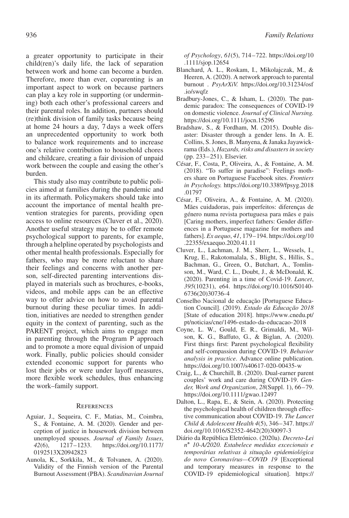a greater opportunity to participate in their child(ren)'s daily life, the lack of separation between work and home can become a burden. Therefore, more than ever, coparenting is an important aspect to work on because partners can play a key role in supporting (or undermining) both each other's professional careers and their parental roles. In addition, partners should (re)think division of family tasks because being at home 24 hours a day, 7 days a week offers an unprecedented opportunity to work both to balance work requirements and to increase one's relative contribution to household chores and childcare, creating a fair division of unpaid work between the couple and easing the other's burden.

This study also may contribute to public policies aimed at families during the pandemic and in its aftermath. Policymakers should take into account the importance of mental health prevention strategies for parents, providing open access to online resources (Cluver et al., 2020). Another useful strategy may be to offer remote psychological support to parents, for example, through a helpline operated by psychologists and other mental health professionals. Especially for fathers, who may be more reluctant to share their feelings and concerns with another person, self-directed parenting interventions displayed in materials such as brochures, e-books, videos, and mobile apps can be an effective way to offer advice on how to avoid parental burnout during these peculiar times. In addition, initiatives are needed to strengthen gender equity in the context of parenting, such as the PARENT project, which aims to engage men in parenting through the Program P approach and to promote a more equal division of unpaid work. Finally, public policies should consider extended economic support for parents who lost their jobs or were under layoff measures, more flexible work schedules, thus enhancing the work–family support.

## **REFERENCES**

- Aguiar, J., Sequeira, C. F., Matias, M., Coimbra, S., & Fontaine, A. M. (2020). Gender and perception of justice in housework division between unemployed spouses. *Journal of Family Issues*, *42*(6), 1217–1233. [https://doi.org/10.1177/](https://doi.org/10.1177/0192513X20942823) [0192513X20942823](https://doi.org/10.1177/0192513X20942823)
- Aunola, K., Sorkkila, M., & Tolvanen, A. (2020). Validity of the Finnish version of the Parental Burnout Assessment (PBA). *Scandinavian Journal*

*of Psychology*, *61*(5), 714–722. [https://doi.org/10](https://doi.org/10.1111/sjop.12654) [.1111/sjop.12654](https://doi.org/10.1111/sjop.12654)

- Blanchard, A. L., Roskam, I., Mikolajczak, M., & Heeren, A. (2020). A network approach to parental burnout . *PsyArXiV.* [https://doi.org/10.31234/osf](https://doi.org/10.31234/osf.io/swqfz) [.io/swqfz](https://doi.org/10.31234/osf.io/swqfz)
- Bradbury-Jones, C., & Isham, L. (2020). The pandemic paradox: The consequences of COVID-19 on domestic violence. *Journal of Clinical Nursing.* <https://doi.org/10.1111/jocn.15296>
- Bradshaw, S., & Fordham, M. (2015). Double disaster: Disaster through a gender lens. In A. E. Collins, S. Jones, B. Manyena, & Janaka Jayawickrama (Eds.), *Hazards, risks and disasters in society* (pp. 233–251). Elsevier.
- César, F., Costa, P., Oliveira, A., & Fontaine, A. M. (2018). "To suffer in paradise": Feelings mothers share on Portuguese Facebook sites. *Frontiers in Psychology.* [https://doi.org/10.3389/fpsyg.2018](https://doi.org/10.3389/fpsyg.2018.01797) [.01797](https://doi.org/10.3389/fpsyg.2018.01797)
- César, F., Oliveira, A., & Fontaine, A. M. (2020). Mães cuidadoras, pais imperfeitos: diferenças de género numa revista portuguesa para mães e pais [Caring mothers, imperfect fathers: Gender differences in a Portuguese magazine for mothers and fathers]. *Ex aequo*, *41*, 179–194. [https://doi.org/10](https://doi.org/10.22355/exaequo.2020.41.11) [.22355/exaequo.2020.41.11](https://doi.org/10.22355/exaequo.2020.41.11)
- Cluver, L., Lachman, J. M., Sherr, L., Wessels, I., Krug, E., Rakotomalala, S., Blight, S., Hillis, S., Bachman, G., Green, O., Butchart, A., Tomlinson, M., Ward, C. L., Doubt, J., & McDonald, K. (2020). Parenting in a time of Covid-19. *Lancet*, *395*(10231), e64. [https://doi.org/10.1016/S0140-](https://doi.org/10.1016/S0140-6736(20)30736-4) [6736\(20\)30736-4](https://doi.org/10.1016/S0140-6736(20)30736-4)
- Conselho Nacional de educação [Portuguese Education Council]. (2019). *Estado da Educação 2018* [State of education 2018]. [https://www.cnedu.pt/](https://www.cnedu.pt/pt/noticias/cne/1496-estado-da-educacao-2018) [pt/noticias/cne/1496-estado-da-educacao-2018](https://www.cnedu.pt/pt/noticias/cne/1496-estado-da-educacao-2018)
- Coyne, L. W., Gould, E. R., Grimaldi, M., Wilson, K. G., Baffuto, G., & Biglan, A. (2020). First things first: Parent psychological flexibility and self-compassion during COVID-19. *Behavior analysis in practice*. Advance online publication. <https://doi.org/10.1007/s40617-020-00435-w>
- Craig, L., & Churchill, B. (2020). Dual-earner parent couples' work and care during COVID-19. *Gender, Work and Organization*, *28*(Suppl. 1), 66–79. <https://doi.org/10.1111/gwao.12497>
- Dalton, L., Rapa, E., & Stein, A. (2020). Protecting the psychological health of children through effective communication about COVID-19. *The Lancet Child & Adolescent Health 4*(5), 346–347. [https://](https://doi.org/10.1016/S2352-4642) [doi.org/10.1016/S2352-4642\(](https://doi.org/10.1016/S2352-4642)20)30097-3
- Diário da República Eletrónico. (2020a). *Decreto-Lei n*∘ *10-A/2020. Estabelece medidas excecionais e temporárias relativas à situação epidemiológica do novo Coronavírus—COVID 19* [Exceptional and temporary measures in response to the COVID-19 epidemiological situation]. [https://](https://dre.pt/web/guest/pesquisa/-/search/130243053/details/normal?l=1)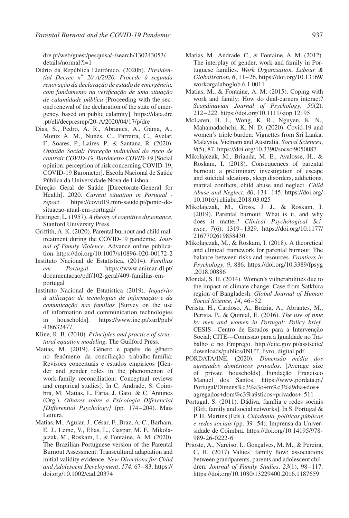[dre.pt/web/guest/pesquisa/-/search/130243053/](https://dre.pt/web/guest/pesquisa/-/search/130243053/details/normal?l=1) [details/normal?l=1](https://dre.pt/web/guest/pesquisa/-/search/130243053/details/normal?l=1)

- Diário da República Eletrónico. (2020b). *Presidential Decree n*∘ *20-A/2020. Procede à segunda renovação da declaração de estado de emergência, com fundamento na verificação de uma situação de calamidade pública* [Proceeding with the second renewal of the declaration of the state of emergency, based on public calamity]. [https://data.dre](https://data.dre.pt/eli/decpresrep/20-A/2020/04/17/p/dre) [.pt/eli/decpresrep/20-A/2020/04/17/p/dre](https://data.dre.pt/eli/decpresrep/20-A/2020/04/17/p/dre)
- Dias, S., Pedro, A. R., Abrantes, A., Gama, A., Moniz A. M., Nunes, C., Parreira, C., Avelar, F., Soares, P., Laires, P., & Santana, R. (2020). *Opinião Social: Perceção individual do risco de contrair COVID-19, Barómetro COVID-19* [Social opinion: perception of risk concerning COVID-19, COVID-19 Barometer]. Escola Nacional de Saúde Pública da Universidade Nova de Lisboa.
- Direção Geral de Saúde [Directorate-General for Health]. 2020. *Current situation in Portugal report*. [https://covid19.min-saude.pt/ponto-de](https://covid19.min-saude.pt/ponto-de-situacao-atual-em-portugal/)[situacao-atual-em-portugal/](https://covid19.min-saude.pt/ponto-de-situacao-atual-em-portugal/)
- Festinger, L. (1957). *A theory of cognitive dissonance*. Stanford University Press.
- Griffith, A. K. (2020). Parental burnout and child maltreatment during the COVID-19 pandemic. *Journal of Family Violence*. Advance online publication.<https://doi.org/10.1007/s10896-020-00172-2>
- Instituto Nacional de Estatística. (2014). *Famílias em Portugal*. [https://www.animar-dl.pt/](https://www.animar-dl.pt/documentacao/pdf/102-geral/409-familias-em-portugal) [documentacao/pdf/102-geral/409-familias-em](https://www.animar-dl.pt/documentacao/pdf/102-geral/409-familias-em-portugal)[portugal](https://www.animar-dl.pt/documentacao/pdf/102-geral/409-familias-em-portugal)
- Instituto Nacional de Estatística (2019). *Inquérito à utilização de tecnologias de informação e da comunicação nas famílias* [Survey on the use of information and communication technologies in households]. [https://www.ine.pt/xurl/pub/](https://www.ine.pt/xurl/pub/438632477) [438632477.](https://www.ine.pt/xurl/pub/438632477)
- Kline, R. B. (2010). *Principles and practice of structural equation modeling*. The Guilford Press.
- Matias, M. (2019). Gênero e papéis de gênero no fenómeno da conciliação trabalho-família: Revisões conceituais e estudos empíricos [Gender and gender roles in the phenomenon of work-family reconciliation: Conceptual reviews and empirical studies]. In C. Andrade, S. Coimbra, M. Matias, L. Faria, J. Gato, & C. Antunes (Org.), *Olhares sobre a Psicologia Diferencial [Differential Psychology]* (pp. 174–204). Mais Leitura.
- Matias, M., Aguiar, J., César, F., Braz, A. C., Barham, E. J., Leme, V., Elias, L., Gaspar, M. F., Mikolajczak, M., Roskam, I., & Fontaine, A. M. (2020). The Brazilian-Portuguese version of the Parental Burnout Assessment: Transcultural adaptation and initial validity evidence. *New Directions for Child and Adolescent Development*, *174*, 67–83. [https://](https://doi.org/10.1002/cad.20374) [doi.org/10.1002/cad.20374](https://doi.org/10.1002/cad.20374)
- Matias, M., Andrade, C., & Fontaine, A. M. (2012). The interplay of gender, work and family in Portuguese families. *Work Organisation, Labour & Globalisation*, *6*, 11–26. [https://doi.org/10.13169/](https://doi.org/10.13169/workorgalaboglob.6.1.0011) [workorgalaboglob.6.1.0011](https://doi.org/10.13169/workorgalaboglob.6.1.0011)
- Matias, M., & Fontaine, A. M. (2015). Coping with work and family: How do dual-earners interact? *Scandinavian Journal of Psychology*, *56*(2), 212–222.<https://doi.org/10.1111/sjop.12195>
- McLaren, H. J., Wong, K. R., Nguyen, K. N., Mahamadachchi, K. N. D. (2020). Covid-19 and women's triple burden: Vignettes from Sri Lanka, Malaysia, Vietnam and Australia. *Social Sciences*, *9*(5), 87.<https://doi.org/10.3390/socsci9050087>
- Mikolajczak, M., Brianda, M. E., Avalosse, H., & Roskam, I. (2018). Consequences of parental burnout: a preliminary investigation of escape and suicidal ideations, sleep disorders, addictions, marital conflicts, child abuse and neglect. *Child Abuse and Neglect*, *80*, 134–145. [https://doi.org/](https://doi.org/10.1016/j.chiabu.2018.03.025) [10.1016/j.chiabu.2018.03.025](https://doi.org/10.1016/j.chiabu.2018.03.025)
- Mikolajczak, M., Gross, J. J., & Roskam, I. (2019). Parental burnout: What is it, and why does it matter? *Clinical Psychological Science*, *7*(6), 1319–1329. [https://doi.org/10.1177/](https://doi.org/10.1177/2167702619858430) [2167702619858430](https://doi.org/10.1177/2167702619858430)
- Mikolajczak, M., & Roskam, I. (2018). A theoretical and clinical framework for parental burnout: The balance between risks and resources. *Frontiers in Psychology*, *9*, 886. [https://doi.org/10.3389/fpsyg](https://doi.org/10.3389/fpsyg.2018.00886) [.2018.00886](https://doi.org/10.3389/fpsyg.2018.00886)
- Mondal, S. H. (2014). Women's vulnerabilities due to the impact of climate change: Case from Satkhira region of Bangladesh. *Global Journal of Human Social Science*, *14*, 46–52.
- Perista, H., Cardoso, A., Brázia, A., Abrantes, M., Perista, P., & Quintal, E. (2016). *The use of time by men and women in Portugal: Policy brief* . CESIS—Centro de Estudos para a Intervenção Social; CITE—Comissão para a Igualdade no Trabalho e no Emprego. [http://cite.gov.pt/asstscite/](http://cite.gov.pt/asstscite/downloads/publics/INUT_livro_digital.pdf) [downloads/publics/INUT\\_livro\\_digital.pdf](http://cite.gov.pt/asstscite/downloads/publics/INUT_livro_digital.pdf)
- PORDATA/INE. (2020). *Dimensão média dos agregados domésticos privados*. [Average size of private households] Fundação Francisco Manuel dos Santos. [https://www.pordata.pt/](https://www.pordata.pt/Portugal/Dimens%c3%a3o+m%c3%a9dia+dos+agregados+dom%c3%a9sticos+privados+-511) [Portugal/Dimens%c3%a3o+m%c3%a9dia+dos+](https://www.pordata.pt/Portugal/Dimens%c3%a3o+m%c3%a9dia+dos+agregados+dom%c3%a9sticos+privados+-511) [agregados+dom%c3%a9sticos+privados+-511](https://www.pordata.pt/Portugal/Dimens%c3%a3o+m%c3%a9dia+dos+agregados+dom%c3%a9sticos+privados+-511)
- Portugal, S. (2011). Dádiva, família e redes sociais [Gift, family and social networks]. In S. Portugal & P. H. Martins (Eds.), *Cidadania, políticas públicas e redes sociais* (pp. 39–54). Imprensa da Universidade de Coimbra. [https://doi.org/10.14195/978-](https://doi.org/10.14195/978-989-26-0222-6) [989-26-0222-6](https://doi.org/10.14195/978-989-26-0222-6)
- Prioste, A., Narciso, I., Gonçalves, M. M., & Pereira, C. R. (2017) Values' family flow: associations between grandparents, parents and adolescent children. *Journal of Family Studies*, *23*(1), 98–117. <https://doi.org/10.1080/13229400.2016.1187659>